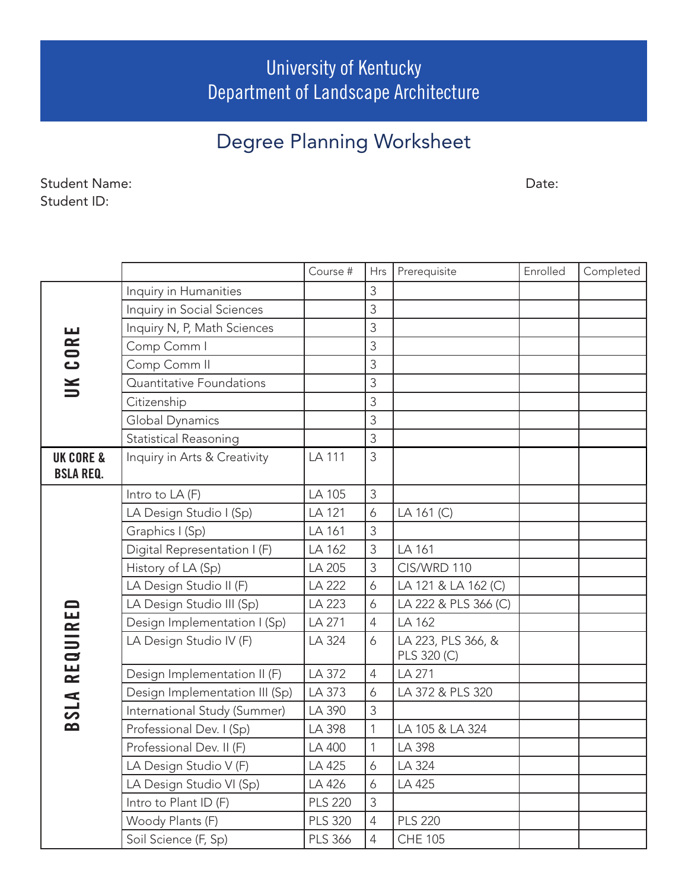University of Kentucky Department of Landscape Architecture

## Degree Planning Worksheet

Student Name: Student ID:

Date:

|                            |                                | Course #       | <b>Hrs</b>     | Prerequisite                      | Enrolled | Completed |
|----------------------------|--------------------------------|----------------|----------------|-----------------------------------|----------|-----------|
| CORE<br>$\leq$             | Inquiry in Humanities          |                | 3              |                                   |          |           |
|                            | Inquiry in Social Sciences     |                | 3              |                                   |          |           |
|                            | Inquiry N, P, Math Sciences    |                | 3              |                                   |          |           |
|                            | Comp Comm I                    |                | 3              |                                   |          |           |
|                            | Comp Comm II                   |                | 3              |                                   |          |           |
|                            | Quantitative Foundations       |                | 3              |                                   |          |           |
|                            | Citizenship                    |                | 3              |                                   |          |           |
|                            | Global Dynamics                |                | 3              |                                   |          |           |
|                            | <b>Statistical Reasoning</b>   |                | 3              |                                   |          |           |
| <b>UK CORE &amp;</b>       | Inquiry in Arts & Creativity   | LA 111         | 3              |                                   |          |           |
| <b>BSLA REQ.</b>           |                                |                |                |                                   |          |           |
| REQUIRE<br><b>SLA</b><br>മ | Intro to LA (F)                | LA 105         | 3              |                                   |          |           |
|                            | LA Design Studio I (Sp)        | LA 121         | 6              | LA 161 (C)                        |          |           |
|                            | Graphics I (Sp)                | LA 161         | 3              |                                   |          |           |
|                            | Digital Representation I (F)   | LA 162         | 3              | LA 161                            |          |           |
|                            | History of LA (Sp)             | LA 205         | 3              | CIS/WRD 110                       |          |           |
|                            | LA Design Studio II (F)        | LA 222         | 6              | LA 121 & LA 162 (C)               |          |           |
|                            | LA Design Studio III (Sp)      | LA 223         | 6              | LA 222 & PLS 366 (C)              |          |           |
|                            | Design Implementation I (Sp)   | LA 271         | $\overline{4}$ | LA 162                            |          |           |
|                            | LA Design Studio IV (F)        | LA 324         | 6              | LA 223, PLS 366, &<br>PLS 320 (C) |          |           |
|                            | Design Implementation II (F)   | LA 372         | $\overline{4}$ | LA 271                            |          |           |
|                            | Design Implementation III (Sp) | LA 373         | 6              | LA 372 & PLS 320                  |          |           |
|                            | International Study (Summer)   | LA 390         | 3              |                                   |          |           |
|                            | Professional Dev. I (Sp)       | LA 398         | $\mathbf{1}$   | LA 105 & LA 324                   |          |           |
|                            | Professional Dev. II (F)       | LA 400         | 1              | LA 398                            |          |           |
|                            | LA Design Studio V (F)         | LA 425         | 6              | LA 324                            |          |           |
|                            | LA Design Studio VI (Sp)       | LA 426         | 6              | LA 425                            |          |           |
|                            | Intro to Plant ID (F)          | <b>PLS 220</b> | $\mathfrak{Z}$ |                                   |          |           |
|                            | Woody Plants (F)               | <b>PLS 320</b> | $\overline{4}$ | <b>PLS 220</b>                    |          |           |
|                            | Soil Science (F, Sp)           | <b>PLS 366</b> | $\overline{4}$ | <b>CHE 105</b>                    |          |           |